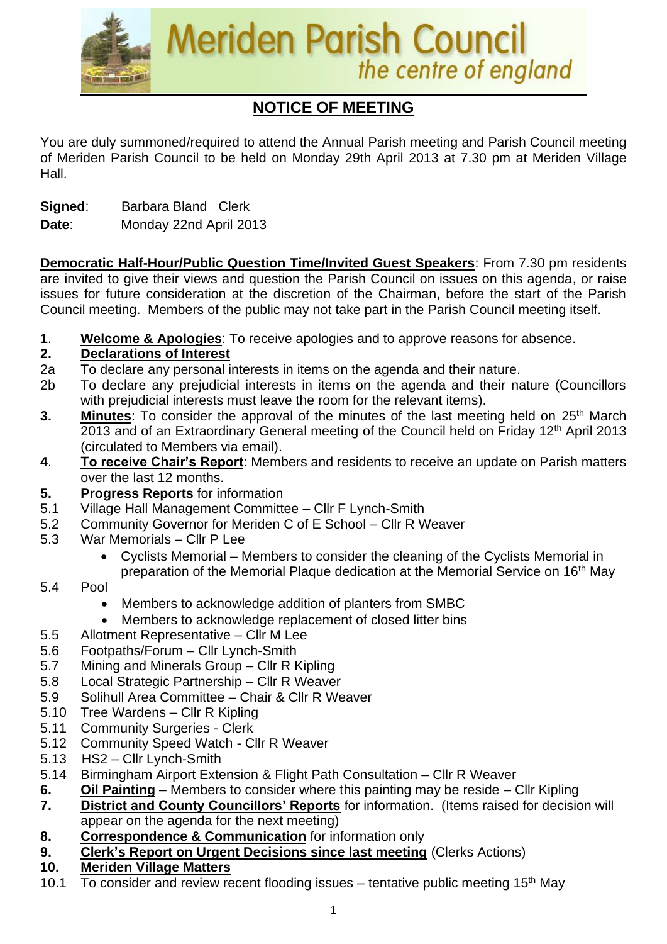

# **NOTICE OF MEETING**

You are duly summoned/required to attend the Annual Parish meeting and Parish Council meeting of Meriden Parish Council to be held on Monday 29th April 2013 at 7.30 pm at Meriden Village Hall.

**Signed:** Barbara Bland Clerk

#### **Date**: Monday 22nd April 2013

**Democratic Half-Hour/Public Question Time/Invited Guest Speakers**: From 7.30 pm residents are invited to give their views and question the Parish Council on issues on this agenda, or raise issues for future consideration at the discretion of the Chairman, before the start of the Parish Council meeting. Members of the public may not take part in the Parish Council meeting itself.

**1**. **Welcome & Apologies**: To receive apologies and to approve reasons for absence.

#### **2. Declarations of Interest**

- 2a To declare any personal interests in items on the agenda and their nature.
- 2b To declare any prejudicial interests in items on the agenda and their nature (Councillors with prejudicial interests must leave the room for the relevant items).
- 3. Minutes: To consider the approval of the minutes of the last meeting held on 25<sup>th</sup> March 2013 and of an Extraordinary General meeting of the Council held on Friday 12<sup>th</sup> April 2013 (circulated to Members via email).
- **4**. **To receive Chair's Report**: Members and residents to receive an update on Parish matters over the last 12 months.
- **5. Progress Reports** for information
- 5.1 Village Hall Management Committee Cllr F Lynch-Smith
- 5.2 Community Governor for Meriden C of E School Cllr R Weaver
- 5.3 War Memorials Cllr P Lee
	- Cyclists Memorial Members to consider the cleaning of the Cyclists Memorial in preparation of the Memorial Plaque dedication at the Memorial Service on 16th May
- 5.4 Pool
	- Members to acknowledge addition of planters from SMBC
	- Members to acknowledge replacement of closed litter bins
- 5.5 Allotment Representative Cllr M Lee
- 5.6 Footpaths/Forum Cllr Lynch-Smith
- 5.7 Mining and Minerals Group Cllr R Kipling
- 5.8 Local Strategic Partnership Cllr R Weaver
- 5.9 Solihull Area Committee Chair & Cllr R Weaver
- 5.10 Tree Wardens Cllr R Kipling
- 5.11 Community Surgeries Clerk
- 5.12 Community Speed Watch Cllr R Weaver
- 5.13 HS2 Cllr Lynch-Smith
- 5.14 Birmingham Airport Extension & Flight Path Consultation Cllr R Weaver
- **6. Oil Painting** Members to consider where this painting may be reside Cllr Kipling
- **7. District and County Councillors' Reports** for information. (Items raised for decision will appear on the agenda for the next meeting)
- **8. Correspondence & Communication** for information only
- **9. Clerk's Report on Urgent Decisions since last meeting** (Clerks Actions)
- **10. Meriden Village Matters**
- 10.1  $\overline{7}$  To consider and review recent flooding issues tentative public meeting 15<sup>th</sup> May